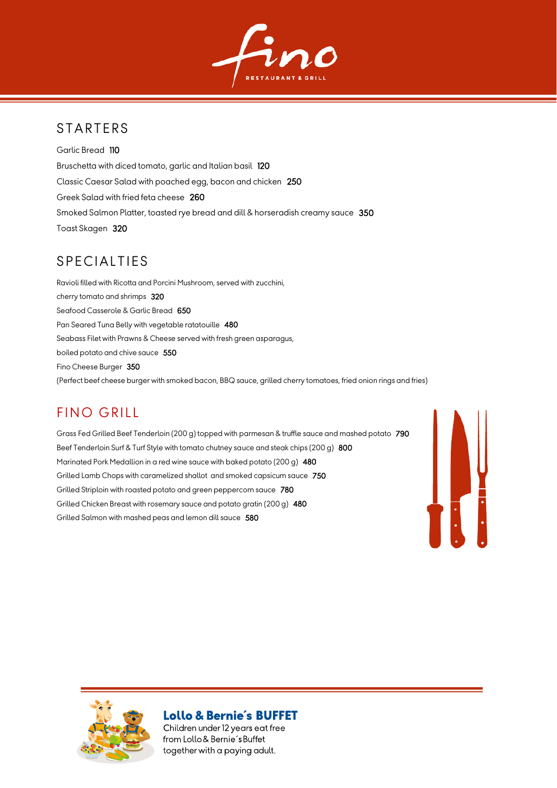

## **STARTERS**

Garlic Bread 110 Bruschetta with diced tomato, garlic and Italian basil 120 Classic Caesar Salad with poached egg, bacon and chicken 250 Greek Salad with fried feta cheese 260 Smoked Salmon Platter, toasted rye bread and dill & horseradish creamy sauce 350 Toast Skagen 320

## **SPECIALTIES**

Ravioli filled with Ricotta and Porcini Mushroom, served with zucchini, cherry tomato and shrimps 320 Seafood Casserole & Garlic Bread 650 Pan Seared Tuna Belly with vegetable ratatouille 480 Seabass Filet with Prawns & Cheese served with fresh green asparagus, boiled potato and chive sauce 550 Fino Cheese Burger 350 (Perfect beef cheese burger with smoked bacon, BBQ sauce, grilled cherry tomatoes, fried onion rings and fries)

# **FINO GRILL**

Grass Fed Grilled Beef Tenderloin (200 g) topped with parmesan & truffle sauce and mashed potato 790 Beef Tenderloin Surf & Turf Style with tomato chutney sauce and steak chips (200 g) 800 Marinated Pork Medallion in a red wine sauce with baked potato (200 g) 480 Grilled Lamb Chops with caramelized shallot and smoked capsicum sauce 750 Grilled Striploin with roasted potato and green peppercorn sauce 780 Grilled Chicken Breast with rosemary sauce and potato gratin (200 g) 480 Grilled Salmon with mashed peas and lemon dill sauce 580





#### **Lollo & Bernie's BUFFET**

Children under 12 years eat free from Lollo & Bernie's Buffet together with a paying adult.